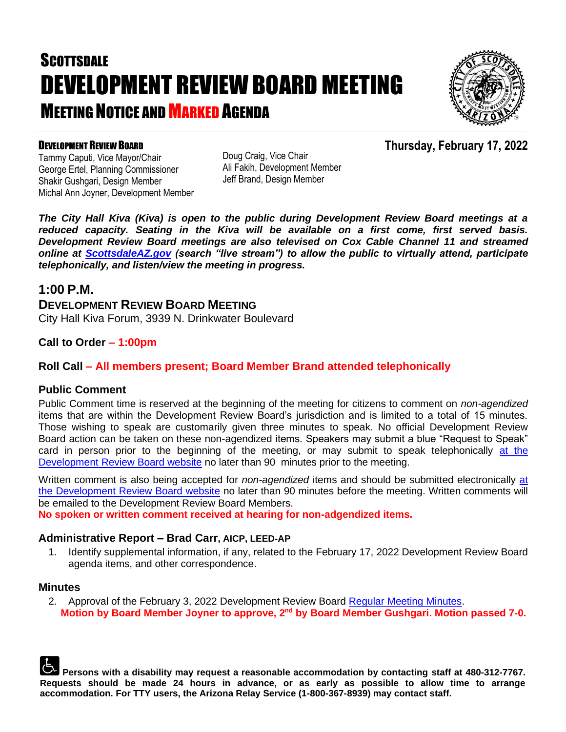# **SCOTTSDALE** DEVELOPMENT REVIEW BOARD MEETING **MEETING NOTICE AND MARKED AGENDA**



**Thursday, February 17, 2022**

#### DEVELOPMENT REVIEW BOARD

Tammy Caputi, Vice Mayor/Chair George Ertel, Planning Commissioner Shakir Gushgari, Design Member Michal Ann Joyner, Development Member Doug Craig, Vice Chair Ali Fakih, Development Member Jeff Brand, Design Member

*The City Hall Kiva (Kiva) is open to the public during Development Review Board meetings at a reduced capacity. Seating in the Kiva will be available on a first come, first served basis. Development Review Board meetings are also televised on Cox Cable Channel 11 and streamed online at [ScottsdaleAZ.gov](http://www.scottsdaleaz.gov/) (search "live stream") to allow the public to virtually attend, participate telephonically, and listen/view the meeting in progress.*

#### **1:00 P.M.**

**DEVELOPMENT REVIEW BOARD MEETING** City Hall Kiva Forum, 3939 N. Drinkwater Boulevard

#### **Call to Order – 1:00pm**

#### **Roll Call – All members present; Board Member Brand attended telephonically**

#### **Public Comment**

Public Comment time is reserved at the beginning of the meeting for citizens to comment on *non-agendized* items that are within the Development Review Board's jurisdiction and is limited to a total of 15 minutes. Those wishing to speak are customarily given three minutes to speak. No official Development Review Board action can be taken on these non-agendized items. Speakers may submit a blue "Request to Speak" card in person prior to the beginning of the meeting, or may submit to speak telephonically [at the](https://www.scottsdaleaz.gov/boards/development-review-board/spoken-comment)  Development [Review Board website](https://www.scottsdaleaz.gov/boards/development-review-board/spoken-comment) no later than 90 minutes prior to the meeting.

Written comment is also being accepted for *non-agendized* items and should be submitted electronically [at](https://www.scottsdaleaz.gov/boards/development-review-board/public-comment)  [the Development Review Board website](https://www.scottsdaleaz.gov/boards/development-review-board/public-comment) no later than 90 minutes before the meeting. Written comments will be emailed to the Development Review Board Members.

**No spoken or written comment received at hearing for non-adgendized items.**

#### **Administrative Report – Brad Carr, AICP, LEED-AP**

1. Identify supplemental information, if any, related to the February 17, 2022 Development Review Board agenda items, and other correspondence.

#### **Minutes**

2. Approval of the February 3, 2022 Development Review Board [Regular Meeting Minutes.](https://eservices.scottsdaleaz.gov/planning/projectsummary/unrelated_documents/DRB_MEETING_MINUTES_02032022.pdf) **Motion by Board Member Joyner to approve, 2nd by Board Member Gushgari. Motion passed 7-0.**

**Persons with a disability may request a reasonable accommodation by contacting staff at 480-312-7767. Requests should be made 24 hours in advance, or as early as possible to allow time to arrange accommodation. For TTY users, the Arizona Relay Service (1-800-367-8939) may contact staff.**